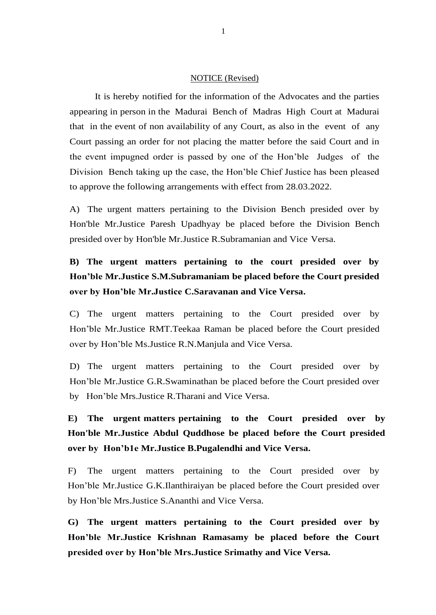## NOTICE (Revised)

It is hereby notified for the information of the Advocates and the parties appearing in person in the Madurai Bench of Madras High Court at Madurai that in the event of non availability of any Court, as also in the event of any Court passing an order for not placing the matter before the said Court and in the event impugned order is passed by one of the Hon'ble Judges of the Division Bench taking up the case, the Hon'ble Chief Justice has been pleased to approve the following arrangements with effect from 28.03.2022.

A) The urgent matters pertaining to the Division Bench presided over by Hon'ble Mr.Justice Paresh Upadhyay be placed before the Division Bench presided over by Hon'ble Mr.Justice R.Subramanian and Vice Versa.

## **B) The urgent matters pertaining to the court presided over by Hon'ble Mr.Justice S.M.Subramaniam be placed before the Court presided over by Hon'ble Mr.Justice C.Saravanan and Vice Versa.**

C) The urgent matters pertaining to the Court presided over by Hon'ble Mr.Justice RMT.Teekaa Raman be placed before the Court presided over by Hon'ble Ms.Justice R.N.Manjula and Vice Versa.

D) The urgent matters pertaining to the Court presided over by Hon'ble Mr.Justice G.R.Swaminathan be placed before the Court presided over by Hon'ble Mrs.Justice R.Tharani and Vice Versa.

**E) The urgent matters pertaining to the Court presided over by Hon'ble Mr.Justice Abdul Quddhose be placed before the Court presided over by Hon'b1e Mr.Justice B.Pugalendhi and Vice Versa.**

F) The urgent matters pertaining to the Court presided over by Hon'ble Mr.Justice G.K.Ilanthiraiyan be placed before the Court presided over by Hon'ble Mrs.Justice S.Ananthi and Vice Versa.

**G) The urgent matters pertaining to the Court presided over by Hon'ble Mr.Justice Krishnan Ramasamy be placed before the Court presided over by Hon'ble Mrs.Justice Srimathy and Vice Versa.**